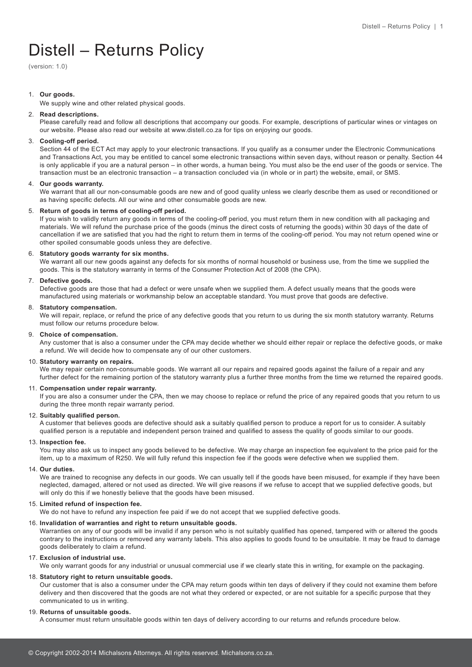# Distell – Returns Policy

(version: 1.0)

# 1. **Our goods.**

We supply wine and other related physical goods.

# 2. **Read descriptions.**

Please carefully read and follow all descriptions that accompany our goods. For example, descriptions of particular wines or vintages on our website. Please also read our website at www.distell.co.za for tips on enjoying our goods.

# 3. **Cooling-off period.**

Section 44 of the ECT Act may apply to your electronic transactions. If you qualify as a consumer under the Electronic Communications and Transactions Act, you may be entitled to cancel some electronic transactions within seven days, without reason or penalty. Section 44 is only applicable if you are a natural person – in other words, a human being. You must also be the end user of the goods or service. The transaction must be an electronic transaction – a transaction concluded via (in whole or in part) the website, email, or SMS.

# 4. **Our goods warranty.**

We warrant that all our non-consumable goods are new and of good quality unless we clearly describe them as used or reconditioned or as having specific defects. All our wine and other consumable goods are new.

# 5. **Return of goods in terms of cooling-off period.**

If you wish to validly return any goods in terms of the cooling-off period, you must return them in new condition with all packaging and materials. We will refund the purchase price of the goods (minus the direct costs of returning the goods) within 30 days of the date of cancellation if we are satisfied that you had the right to return them in terms of the cooling-off period. You may not return opened wine or other spoiled consumable goods unless they are defective.

### 6. **Statutory goods warranty for six months.**

We warrant all our new goods against any defects for six months of normal household or business use, from the time we supplied the goods. This is the statutory warranty in terms of the Consumer Protection Act of 2008 (the CPA).

### 7. **Defective goods.**

Defective goods are those that had a defect or were unsafe when we supplied them. A defect usually means that the goods were manufactured using materials or workmanship below an acceptable standard. You must prove that goods are defective.

### 8. **Statutory compensation.**

We will repair, replace, or refund the price of any defective goods that you return to us during the six month statutory warranty. Returns must follow our returns procedure below.

## 9. **Choice of compensation.**

Any customer that is also a consumer under the CPA may decide whether we should either repair or replace the defective goods, or make a refund. We will decide how to compensate any of our other customers.

#### 10. **Statutory warranty on repairs.**

We may repair certain non-consumable goods. We warrant all our repairs and repaired goods against the failure of a repair and any further defect for the remaining portion of the statutory warranty plus a further three months from the time we returned the repaired goods.

## 11. **Compensation under repair warranty.**

If you are also a consumer under the CPA, then we may choose to replace or refund the price of any repaired goods that you return to us during the three month repair warranty period.

# 12. **Suitably qualified person.**

A customer that believes goods are defective should ask a suitably qualified person to produce a report for us to consider. A suitably qualified person is a reputable and independent person trained and qualified to assess the quality of goods similar to our goods.

#### 13. **Inspection fee.**

You may also ask us to inspect any goods believed to be defective. We may charge an inspection fee equivalent to the price paid for the item, up to a maximum of R250. We will fully refund this inspection fee if the goods were defective when we supplied them.

#### 14. **Our duties.**

We are trained to recognise any defects in our goods. We can usually tell if the goods have been misused, for example if they have been neglected, damaged, altered or not used as directed. We will give reasons if we refuse to accept that we supplied defective goods, but will only do this if we honestly believe that the goods have been misused.

# 15. **Limited refund of inspection fee.**

We do not have to refund any inspection fee paid if we do not accept that we supplied defective goods.

# 16. **Invalidation of warranties and right to return unsuitable goods.**

Warranties on any of our goods will be invalid if any person who is not suitably qualified has opened, tampered with or altered the goods contrary to the instructions or removed any warranty labels. This also applies to goods found to be unsuitable. It may be fraud to damage goods deliberately to claim a refund.

## 17. **Exclusion of industrial use.**

We only warrant goods for any industrial or unusual commercial use if we clearly state this in writing, for example on the packaging.

# 18. **Statutory right to return unsuitable goods.**

Our customer that is also a consumer under the CPA may return goods within ten days of delivery if they could not examine them before delivery and then discovered that the goods are not what they ordered or expected, or are not suitable for a specific purpose that they communicated to us in writing.

# 19. **Returns of unsuitable goods.**

A consumer must return unsuitable goods within ten days of delivery according to our returns and refunds procedure below.